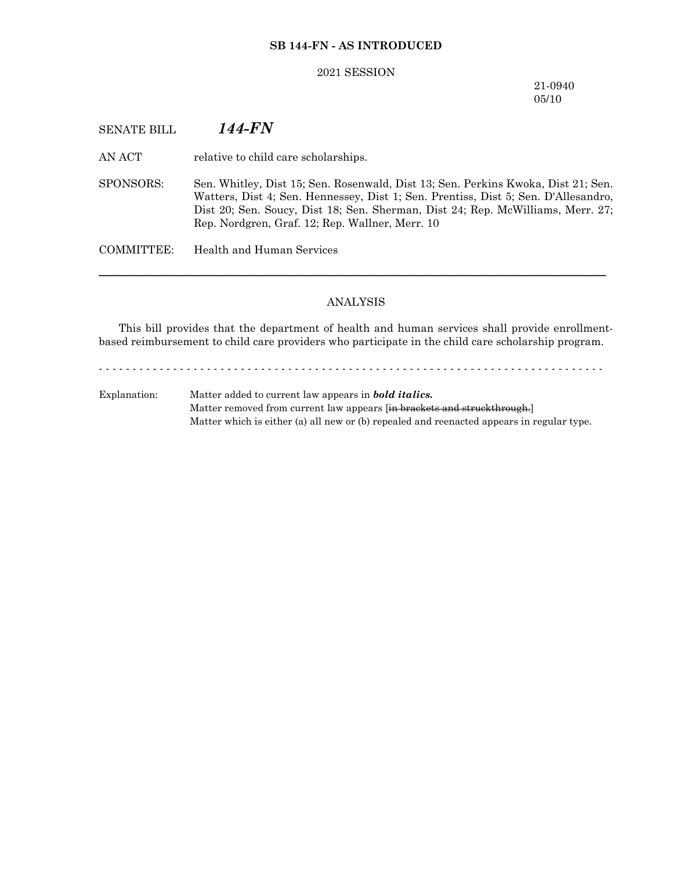### **SB 144-FN - AS INTRODUCED**

#### 2021 SESSION

21-0940 05/10

# SENATE BILL *144-FN*

AN ACT relative to child care scholarships.

SPONSORS: Sen. Whitley, Dist 15; Sen. Rosenwald, Dist 13; Sen. Perkins Kwoka, Dist 21; Sen. Watters, Dist 4; Sen. Hennessey, Dist 1; Sen. Prentiss, Dist 5; Sen. D'Allesandro, Dist 20; Sen. Soucy, Dist 18; Sen. Sherman, Dist 24; Rep. McWilliams, Merr. 27; Rep. Nordgren, Graf. 12; Rep. Wallner, Merr. 10

COMMITTEE: Health and Human Services

# ANALYSIS

─────────────────────────────────────────────────────────────────

This bill provides that the department of health and human services shall provide enrollmentbased reimbursement to child care providers who participate in the child care scholarship program.

- - - - - - - - - - - - - - - - - - - - - - - - - - - - - - - - - - - - - - - - - - - - - - - - - - - - - - - - - - - - - - - - - - - - - - - - - - -

Explanation: Matter added to current law appears in *bold italics.* Matter removed from current law appears [in brackets and struckthrough.] Matter which is either (a) all new or (b) repealed and reenacted appears in regular type.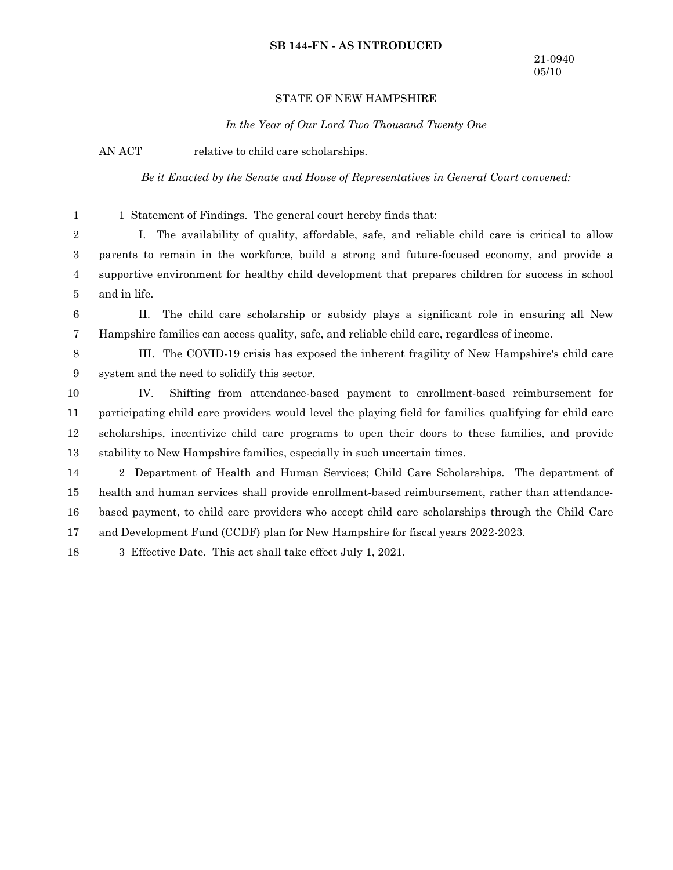### **SB 144-FN - AS INTRODUCED**

### STATE OF NEW HAMPSHIRE

*In the Year of Our Lord Two Thousand Twenty One*

AN ACT relative to child care scholarships.

1

*Be it Enacted by the Senate and House of Representatives in General Court convened:*

1 Statement of Findings. The general court hereby finds that:

I. The availability of quality, affordable, safe, and reliable child care is critical to allow parents to remain in the workforce, build a strong and future-focused economy, and provide a supportive environment for healthy child development that prepares children for success in school and in life. 2 3 4 5

II. The child care scholarship or subsidy plays a significant role in ensuring all New Hampshire families can access quality, safe, and reliable child care, regardless of income. 6 7

III. The COVID-19 crisis has exposed the inherent fragility of New Hampshire's child care system and the need to solidify this sector. 8 9

IV. Shifting from attendance-based payment to enrollment-based reimbursement for participating child care providers would level the playing field for families qualifying for child care scholarships, incentivize child care programs to open their doors to these families, and provide stability to New Hampshire families, especially in such uncertain times. 10 11 12 13

2 Department of Health and Human Services; Child Care Scholarships. The department of health and human services shall provide enrollment-based reimbursement, rather than attendancebased payment, to child care providers who accept child care scholarships through the Child Care and Development Fund (CCDF) plan for New Hampshire for fiscal years 2022-2023. 14 15 16 17

3 Effective Date. This act shall take effect July 1, 2021. 18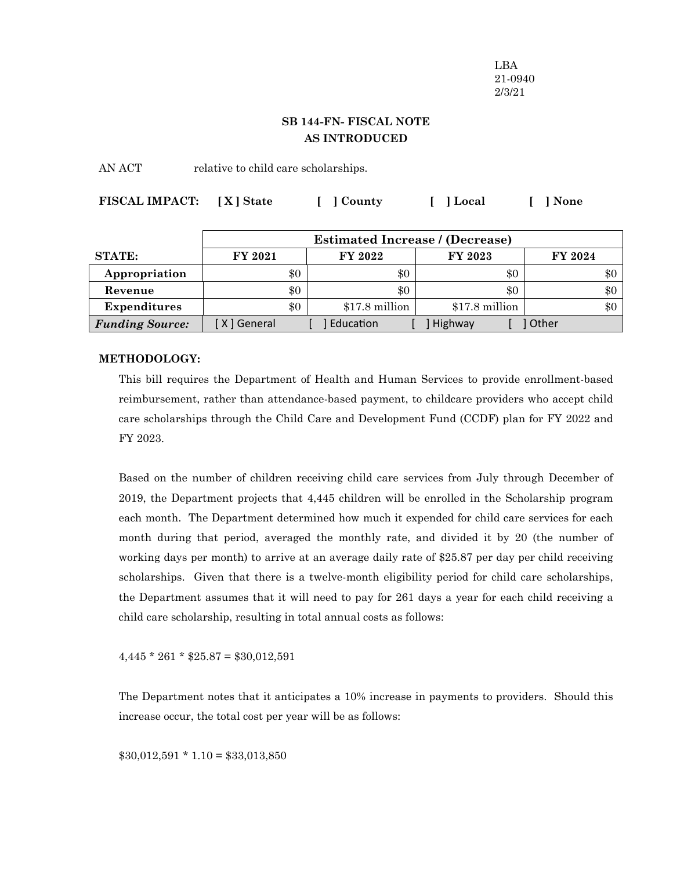LBA 21-0940 2/3/21

# **SB 144-FN- FISCAL NOTE AS INTRODUCED**

AN ACT relative to child care scholarships.

| FISCAL IMPACT: [X] State | [ ] County | [ ] Local | [ ] None |
|--------------------------|------------|-----------|----------|
|                          |            |           |          |

|                        | <b>Estimated Increase / (Decrease)</b> |                 |                 |                |
|------------------------|----------------------------------------|-----------------|-----------------|----------------|
| <b>STATE:</b>          | <b>FY 2021</b>                         | FY 2022         | FY 2023         | <b>FY 2024</b> |
| Appropriation          | \$0                                    | $\$0$           | $\$0$           | \$0            |
| Revenue                | \$0                                    | \$0             | \$0             | \$0            |
| Expenditures           | \$0                                    | $$17.8$ million | $$17.8$ million | \$0            |
| <b>Funding Source:</b> | [ X ] General                          | Education       | Highway         | Other          |

# **METHODOLOGY:**

This bill requires the Department of Health and Human Services to provide enrollment-based reimbursement, rather than attendance-based payment, to childcare providers who accept child care scholarships through the Child Care and Development Fund (CCDF) plan for FY 2022 and FY 2023.

Based on the number of children receiving child care services from July through December of 2019, the Department projects that 4,445 children will be enrolled in the Scholarship program each month. The Department determined how much it expended for child care services for each month during that period, averaged the monthly rate, and divided it by 20 (the number of working days per month) to arrive at an average daily rate of \$25.87 per day per child receiving scholarships. Given that there is a twelve-month eligibility period for child care scholarships, the Department assumes that it will need to pay for 261 days a year for each child receiving a child care scholarship, resulting in total annual costs as follows:

 $4,445 * 261 * $25.87 = $30,012,591$ 

The Department notes that it anticipates a 10% increase in payments to providers. Should this increase occur, the total cost per year will be as follows:

 $$30,012,591 * 1.10 = $33,013,850$